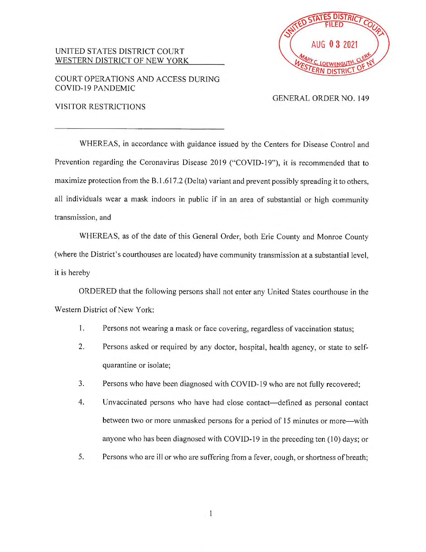## UNITED STATES DISTRICT COURT WESTERN DISTRICT OF NEW YORK

COURT OPERATIONS AND ACCESS DURING COVID-19 PANDEMIC



## GENERAL ORDER NO. 149

VISITOR RESTRICTIONS

WHEREAS, in accordance with guidance issued by the Centers for Disease Control and Prevention regarding the Coronavirus Disease 2019 ("COVID-19"), it is recommended that to maximize protection from the B. 1.6 17.2 (Delta) variant and prevent possibly spreading it to others, all individuals wear a mask indoors in public if in an area of substantial or high community transmission, and

WHEREAS, as of the date of this General Order, both Erie County and Monroe County (where the District's courthouses are located) have community transmission at a substantial level, it is hereby

ORDERED that the following persons shall not enter any United States courthouse in the Western District of New York:

- I. Persons not wearing a mask or face covering, regardless of vaccination status;
- 2. Persons asked or required by any doctor, hospital, health agency, or state to selfquarantine or isolate;
- 3. Persons who have been diagnosed with COVID-19 who are not fully recovered;
- 4. Unvaccinated persons who have had close contact-defined as personal contact between two or more unmasked persons for a period of 15 minutes or more- with anyone who has been diagnosed with COVID-19 in the preceding ten (10) days; or
- 5. Persons who are **ill** or who are suffering from a fever, cough, or shortness of breath;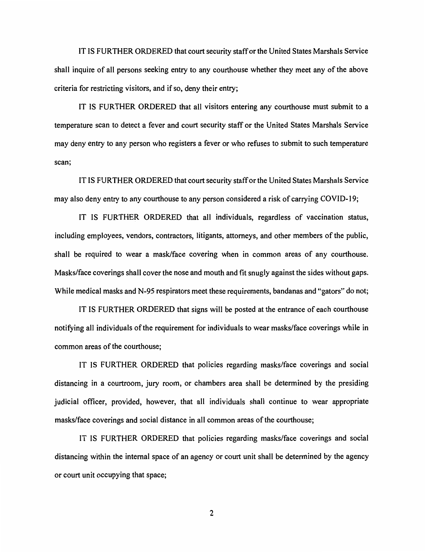IT IS FURTHER ORDERED that court security staff or the United States Marshals Service shall inquire of all persons seeking entry to any courthouse whether they meet any of the above criteria for restricting visitors, and if so, deny their entry;

IT IS FURTHER ORDERED that all visitors entering any courthouse must submit to a temperature scan to detect a fever and court security staff or the United States Marshals Service may deny entry to any person who registers a fever or who refuses to submit to such temperature scan;

IT IS FURTHER ORDERED that court security staff or the United States Marshals Service may also deny entry to any courthouse to any person considered a risk of carrying COVID-19;

IT IS FURTHER ORDERED that all individuals, regardless of vaccination status, including employees, vendors, contractors, litigants, attorneys, and other members of the public, shall be required to wear a mask/face covering when in common areas of any courthouse. Masks/face coverings shall cover the nose and mouth and fit snugly against the sides without gaps. While medical masks and N-95 respirators meet these requirements, bandanas and "gators" do not;

IT IS FURTHER ORDERED that signs will be posted at the entrance of each courthouse notifying all individuals of the requirement for individuals to wear masks/face coverings while in common areas of the courthouse;

IT IS FURTHER ORDERED that policies regarding masks/face coverings and social distancing in a courtroom, jury room, or chambers area shall be determined by the presiding judicial officer, provided, however, that all individuals shall continue to wear appropriate masks/face coverings and social distance in all common areas of the courthouse;

IT IS FURTHER ORDERED that policies regarding masks/face coverings and social distancing within the internal space of an agency or court unit shall be determined by the agency or court unit occupying that space;

2